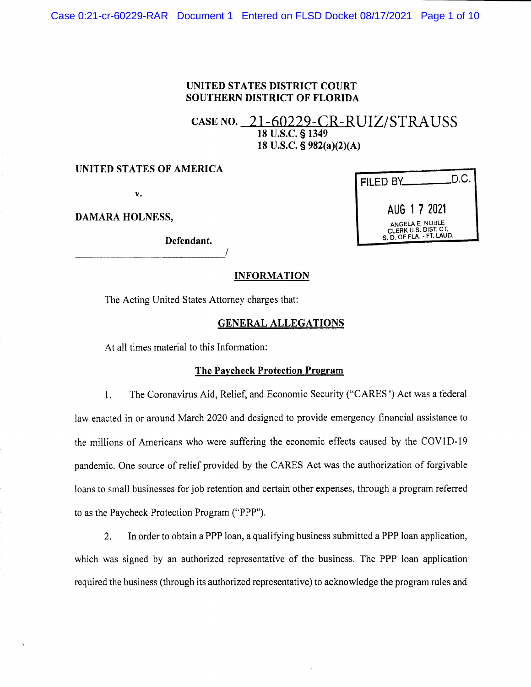#### UNITED STATES DISTRICT COURT **SOUTHERN DISTRICT OF FLORIDA**

### CASE NO. 21-60229-CR-RUIZ/STRAUSS 18 U.S.C. § 1349 18 U.S.C. § 982(a)(2)(A)

#### UNITED STATES OF AMERICA

 $\mathbf{v}_\bullet$ 

**DAMARA HOLNESS,** 

Defendant.

| FILED BY___                                                                 | .D.C. |
|-----------------------------------------------------------------------------|-------|
| AUG 1 7 2021                                                                |       |
| ANGELA E. NOBLE<br>CLERK U.S. DIST. CT.<br>$e, n$ OF FIA. $\cdot$ FT. LAUD. |       |

#### **INFORMATION**

The Acting United States Attorney charges that:

#### **GENERAL ALLEGATIONS**

At all times material to this Information:

#### The Paycheck Protection Program

 $1.$ The Coronavirus Aid, Relief, and Economic Security ("CARES") Act was a federal law enacted in or around March 2020 and designed to provide emergency financial assistance to the millions of Americans who were suffering the economic effects caused by the COV1D-19 pandemic. One source of relief provided by the CARES Act was the authorization of forgivable loans to small businesses for job retention and certain other expenses, through a program referred to as the Paycheck Protection Program ("PPP").

In order to obtain a PPP loan, a qualifying business submitted a PPP loan application,  $2.$ which was signed by an authorized representative of the business. The PPP loan application required the business (through its authorized representative) to acknowledge the program rules and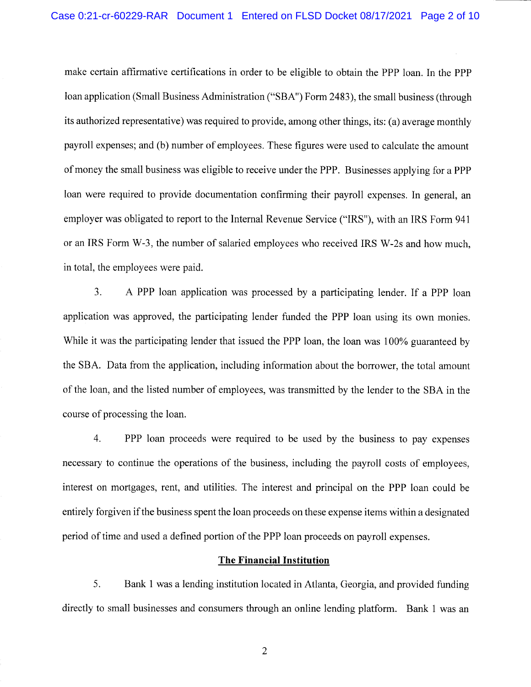make certain affirmative certifications in order to be eligible to obtain the PPP loan. In the PPP Ioan application (Small Business Administration ("SBA") Form 2483), the small business (through its authorized representative) was required to provide, among other things, its: (a) average monthly payroll expenses; and (b) number of employees. These figures were used to calculate the amount of money the small business was eligible to receive under the PPP. Businesses applying for a PPP loan were required to provide documentation confirming their payroll expenses. In general, an employer was obligated to report to the Internal Revenue Service ("IRS"), with an IRS Form 941 or an IRS Form W-3, the number of salaried employees who received IRS W-2s and how much, in total, the employees were paid.

3. A PPP loan application was processed by a participating lender. If a PPP loan application was approved, the participating lender funded the PPP loan using its own monies. While it was the participating lender that issued the PPP loan, the loan was 100% guaranteed by the SBA. Data from the application, including information about the borrower, the total amount of the loan, and the listed number of employees, was transmitted by the lender to the SBA in the course of processing the loan.

4. PPP loan proceeds were required to be used by the business to pay expenses necessary to continue the operations of the business, including the payroll costs of employees, interest on mortgages, rent, and utilities. The interest and principal on the PPP loan could be entirely forgiven if the business spent the loan proceeds on these expense items within a designated period of time and used a defined portion of the PPP loan proceeds on payroll expenses.

#### **The Financial Institution**

5. Bank 1 was a lending institution located in Atlanta, Georgia, and provided funding directly to small businesses and consumers through an online lending platform. Bank 1 was an

 $\overline{2}$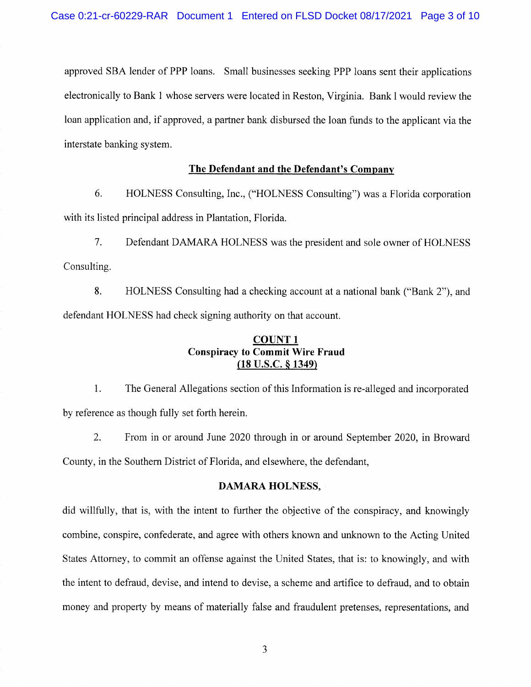approved SBA lender of PPP loans. Small businesses seeking PPP loans sent their applications electronically to Bank 1 whose servers were located in Reston, Virginia. Bank 1 would review the loan application and, if approved, a partner bank disbursed the loan funds to the applicant via the interstate banking system.

#### The Defendant and the Defendant's Company

6. HOLNESS Consulting, Inc., ("HOLNESS Consulting") was a Florida corporation with its listed principal address in Plantation, Florida.

 $7.$ Defendant DAMARA HOLNESS was the president and sole owner of HOLNESS Consulting.

8. HOLNESS Consulting had a checking account at a national bank ("Bank 2"), and defendant HOLNESS had check signing authority on that account.

#### **COUNT1 Conspiracy to Commit Wire Fraud**  $(18$  U.S.C.  $\S$  1349)

 $1.$ The General Allegations section of this Information is re-alleged and incorporated by reference as though fully set forth herein.

2. From in or around June 2020 through in or around September 2020, in Broward County, in the Southern District of Florida, and elsewhere, the defendant,

#### **DAMARA HOLNESS,**

did willfully, that is, with the intent to further the objective of the conspiracy, and knowingly combine, conspire, confederate, and agree with others known and unknown to the Acting United States Attorney, to commit an offense against the United States, that is: to knowingly, and with the intent to defraud, devise, and intend to devise, a scheme and artifice to defraud, and to obtain money and property by means of materially false and fraudulent pretenses, representations, and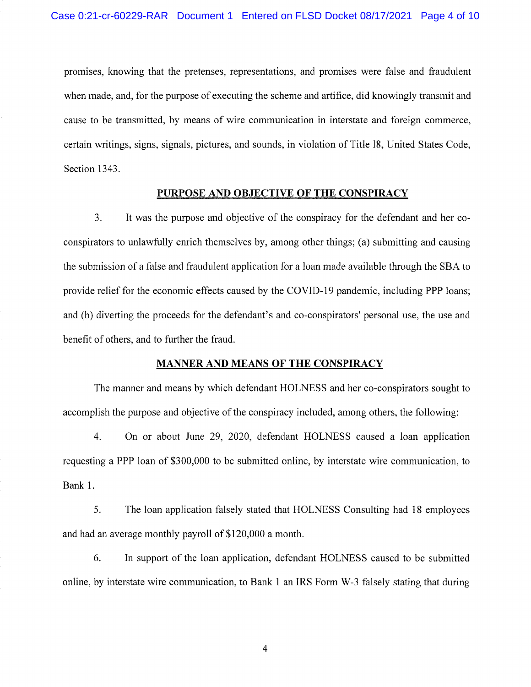promises, knowing that the pretenses, representations, and promises were false and fraudulent when made, and, for the purpose of executing the scheme and artifice, did knowingly transmit and cause to be transmitted, by means of wire communication in interstate and foreign commerce, certain writings, signs, signals, pictures, and sounds, in violation of Title 18, United States Code, Section 1343.

#### PURPOSE AND OBJECTIVE OF THE CONSPIRACY

 $\overline{3}$ . It was the purpose and objective of the conspiracy for the defendant and her coconspirators to unlawfully enrich themselves by, among other things; (a) submitting and causing the submission of a false and fraudulent application for a loan made available through the SBA to provide relief for the economic effects caused by the COVID-19 pandemic, including PPP loans; and (b) diverting the proceeds for the defendant's and co-conspirators' personal use, the use and benefit of others, and to further the fraud.

#### **MANNER AND MEANS OF THE CONSPIRACY**

The manner and means by which defendant HOLNESS and her co-conspirators sought to accomplish the purpose and objective of the conspiracy included, among others, the following:

On or about June 29, 2020, defendant HOLNESS caused a loan application  $4.$ requesting a PPP loan of \$300,000 to be submitted online, by interstate wire communication, to Bank 1.

5. The loan application falsely stated that HOLNESS Consulting had 18 employees and had an average monthly payroll of \$120,000 a month.

6. In support of the loan application, defendant HOLNESS caused to be submitted online, by interstate wire communication, to Bank 1 an IRS Form W-3 falsely stating that during

 $\overline{\mathcal{A}}$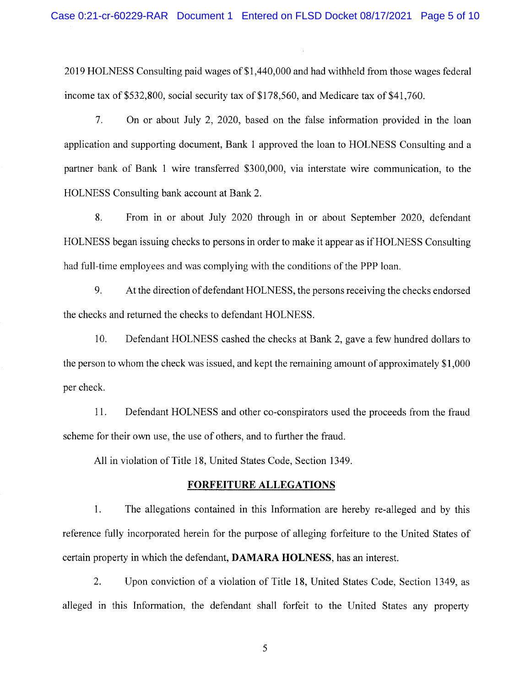2019 HOLNESS Consulting paid wages of \$1,440,000 and had withheld from those wages federal income tax of \$532,800, social security tax of \$178,560, and Medicare tax of \$41,760.

 $7.$ On or about July 2, 2020, based on the false information provided in the loan application and supporting document, Bank 1 approved the loan to HOLNESS Consulting and a partner bank of Bank 1 wire transferred \$300,000, via interstate wire communication, to the HOLNESS Consulting bank account at Bank 2.

8. From in or about July 2020 through in or about September 2020, defendant HOLNESS began issuing checks to persons in order to make it appear as if HOLNESS Consulting had full-time employees and was complying with the conditions of the PPP loan.

9. At the direction of defendant HOLNESS, the persons receiving the checks endorsed the checks and returned the checks to defendant HOLNESS.

10. Defendant HOLNESS cashed the checks at Bank 2, gave a few hundred dollars to the person to whom the check was issued, and kept the remaining amount of approximately \$1,000 per check.

11. Defendant HOLNESS and other co-conspirators used the proceeds from the fraud scheme for their own use, the use of others, and to further the fraud.

All in violation of Title 18, United States Code, Section 1349.

#### **FORFEITURE ALLEGATIONS**

 $1<sub>1</sub>$ The allegations contained in this Information are hereby re-alleged and by this reference fully incorporated herein for the purpose of alleging forfeiture to the United States of certain property in which the defendant, DAMARA HOLNESS, has an interest.

2. Upon conviction of a violation of Title 18, United States Code, Section 1349, as alleged in this Information, the defendant shall forfeit to the United States any property

5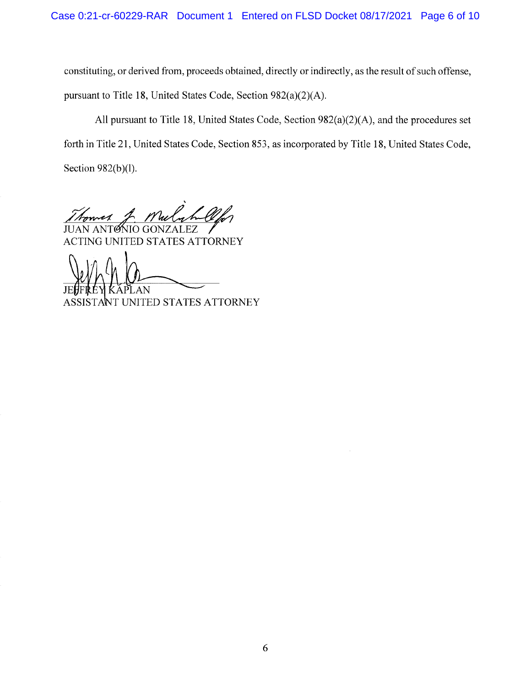constituting, or derived from, proceeds obtained, directly or indirectly, as the result of such offense, pursuant to Title 18, United States Code, Section 982(a)(2)(A).

All pursuant to Title 18, United States Code, Section 982(a)(2)(A), and the procedures set forth in Title 21, United States Code, Section 853, as incorporated by Title 18, United States Code, Section 982(b)(l).

tomes

TØNIO GONZALEZ ACTING UNITED STATES ATTORNEY

AN

TANT UNITED STATES ATTORNEY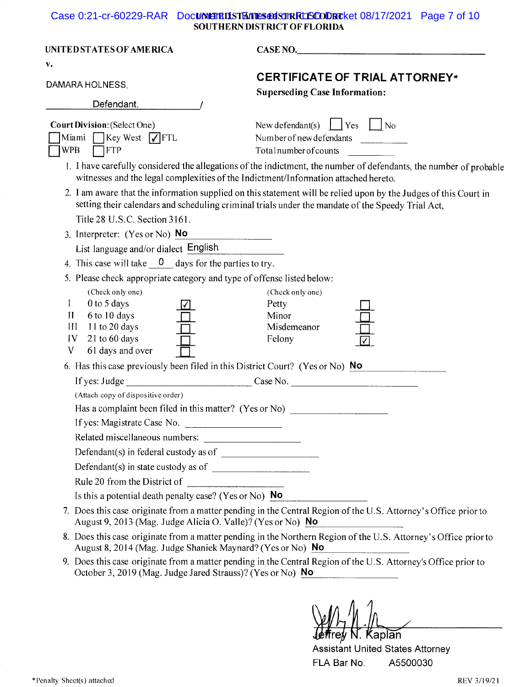# Case 0:21-cr-60229-RAR Document DSTERT SOUTHERN DISTRICT OF FLORIDA

| UNITED STATES OF AMERICA<br>v.                                                                                                                | CASE NO.                                                                                                                                                                                                                                                                                                     |  |  |  |  |
|-----------------------------------------------------------------------------------------------------------------------------------------------|--------------------------------------------------------------------------------------------------------------------------------------------------------------------------------------------------------------------------------------------------------------------------------------------------------------|--|--|--|--|
| DAMARA HOLNESS,<br>Defendant.                                                                                                                 | CERTIFICATE OF TRIAL ATTORNEY*<br><b>Superseding Case Information:</b>                                                                                                                                                                                                                                       |  |  |  |  |
| <b>Court Division: (Select One)</b><br>Miami Key West $\sqrt{\text{FTL}}$<br><b>WPB</b><br>$\sqcap$ FTP                                       | New defendant(s) $\vert$ Yes $\vert$ No<br>Number of new defendants<br>Totalnumberofcounts<br>1. I have carefully considered the allegations of the indictment, the number of defendants, the number of probable                                                                                             |  |  |  |  |
| Title 28 U.S.C. Section 3161.                                                                                                                 | witnesses and the legal complexities of the Indictment/Information attached hereto.<br>2. I am aware that the information supplied on this statement will be relied upon by the Judges of this Court in<br>setting their calendars and scheduling criminal trials under the mandate of the Speedy Trial Act, |  |  |  |  |
| 3. Interpreter: $(Yes or No)$ No                                                                                                              |                                                                                                                                                                                                                                                                                                              |  |  |  |  |
| List language and/or dialect English                                                                                                          |                                                                                                                                                                                                                                                                                                              |  |  |  |  |
| 4. This case will take $\frac{0}{x}$ days for the parties to try.                                                                             |                                                                                                                                                                                                                                                                                                              |  |  |  |  |
| 5. Please check appropriate category and type of offense listed below:                                                                        |                                                                                                                                                                                                                                                                                                              |  |  |  |  |
| (Check only one)<br>0 to 5 days<br>I<br>6 to 10 days<br>$\mathbf{II}$<br>III<br>11 to 20 days<br>21 to 60 days<br>IV<br>V<br>61 days and over | (Check only one)<br>Petty<br>Minor<br>Misdemeanor<br>Felony                                                                                                                                                                                                                                                  |  |  |  |  |
| 6. Has this case previously been filed in this District Court? (Yes or No) No                                                                 |                                                                                                                                                                                                                                                                                                              |  |  |  |  |
|                                                                                                                                               |                                                                                                                                                                                                                                                                                                              |  |  |  |  |
| (Attach copy of dispositive order)<br>If yes: Magistrate Case No.<br>Related miscellaneous numbers:                                           | Has a complaint been filed in this matter? (Yes or No) _________________________                                                                                                                                                                                                                             |  |  |  |  |
|                                                                                                                                               |                                                                                                                                                                                                                                                                                                              |  |  |  |  |
|                                                                                                                                               |                                                                                                                                                                                                                                                                                                              |  |  |  |  |
|                                                                                                                                               |                                                                                                                                                                                                                                                                                                              |  |  |  |  |
| Is this a potential death penalty case? (Yes or No) $\overline{No}$                                                                           |                                                                                                                                                                                                                                                                                                              |  |  |  |  |
| August 9, 2013 (Mag. Judge Alicia O. Valle)? (Yes or No) No                                                                                   | 7. Does this case originate from a matter pending in the Central Region of the U.S. Attorney's Office prior to                                                                                                                                                                                               |  |  |  |  |
| August 8, 2014 (Mag. Judge Shaniek Maynard? (Yes or No) No                                                                                    | 8. Does this case originate from a matter pending in the Northern Region of the U.S. Attorney's Office prior to                                                                                                                                                                                              |  |  |  |  |
| October 3, 2019 (Mag. Judge Jared Strauss)? (Yes or No) No                                                                                    | 9. Does this case originate from a matter pending in the Central Region of the U.S. Attorney's Office prior to                                                                                                                                                                                               |  |  |  |  |

Jeffrey N. Kaplan

Assistant United States Attorney A5500030 FLA Bar No.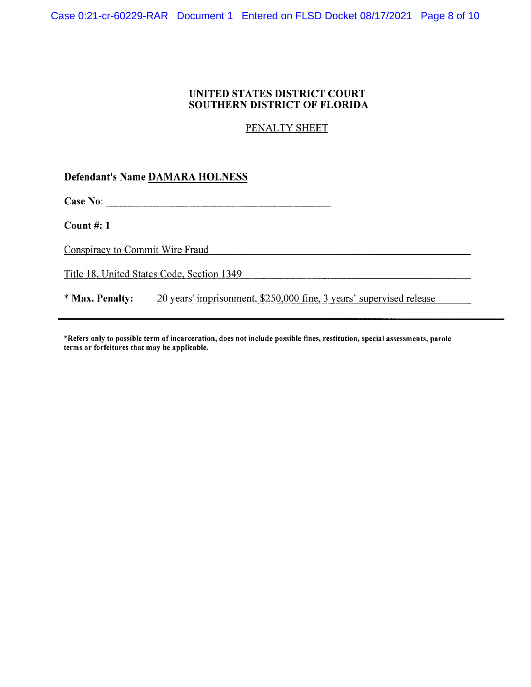#### UNITED STATES DISTRICT COURT SOUTHERN DISTRICT OF FLORIDA

PENALTY SHEET

**Defendant's Name DAMARA HOLNESS** 

Count  $#: 1$ 

Conspiracy to Commit Wire Fraud

Title 18, United States Code, Section 1349

20 years' imprisonment, \$250,000 fine, 3 years' supervised release \* Max. Penalty:

\*Refers only to possible term of incarceration, does not include possible fines, restitution, special assessments, parole terms or forfeitures that may be applicable.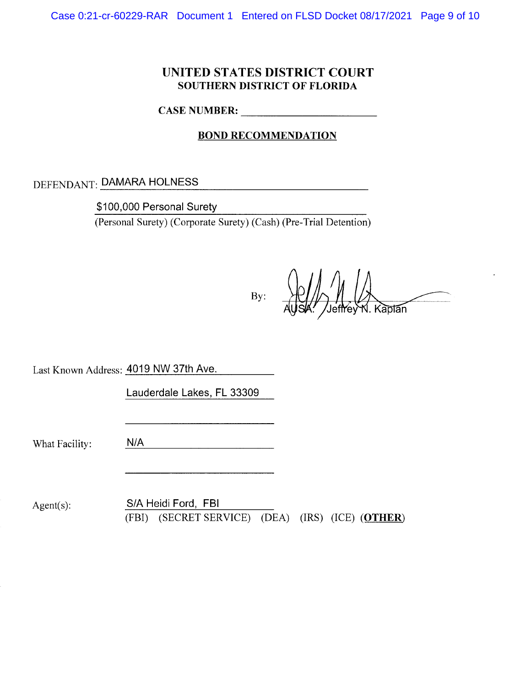# UNITED STATES DISTRICT COURT SOUTHERN DISTRICT OF FLORIDA

CASE NUMBER:

# **BOND RECOMMENDATION**

<u> 1980 - Johann Barbara, martxa alemaniar a</u>

DEFENDANT: DAMARA HOLNESS

\$100,000 Personal Surety

 $(Personal Survey) (Corporate Survey) (Cash) (Pre-Trial Detection)$ 

By:  $\mathcal{H}$ // $\wedge$  // $\wedge$ Jeffrey N. Ka<del>plan</del>

Last Known Address: 4019 NW 37th Ave.

Lauderdale Lakes, FL 33309

What Facility:

| NJ J<br>$\mathbf{N}$ |  | $-1$ |  |  |
|----------------------|--|------|--|--|
|                      |  |      |  |  |

Agent(s): S/A Heidi Ford, FBI (FBI) (SECRET SERVICE) (DEA) (IRS) (ICE) (OTHER)